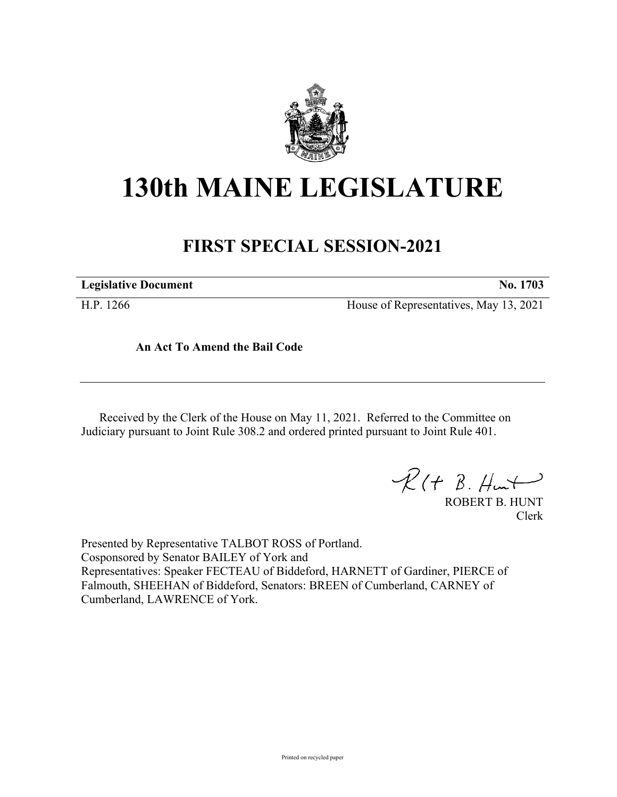

## **130th MAINE LEGISLATURE**

## **FIRST SPECIAL SESSION-2021**

**Legislative Document No. 1703**

H.P. 1266 House of Representatives, May 13, 2021

**An Act To Amend the Bail Code**

Received by the Clerk of the House on May 11, 2021. Referred to the Committee on Judiciary pursuant to Joint Rule 308.2 and ordered printed pursuant to Joint Rule 401.

 $R(t B. Hmt)$ 

ROBERT B. HUNT Clerk

Presented by Representative TALBOT ROSS of Portland. Cosponsored by Senator BAILEY of York and Representatives: Speaker FECTEAU of Biddeford, HARNETT of Gardiner, PIERCE of Falmouth, SHEEHAN of Biddeford, Senators: BREEN of Cumberland, CARNEY of Cumberland, LAWRENCE of York.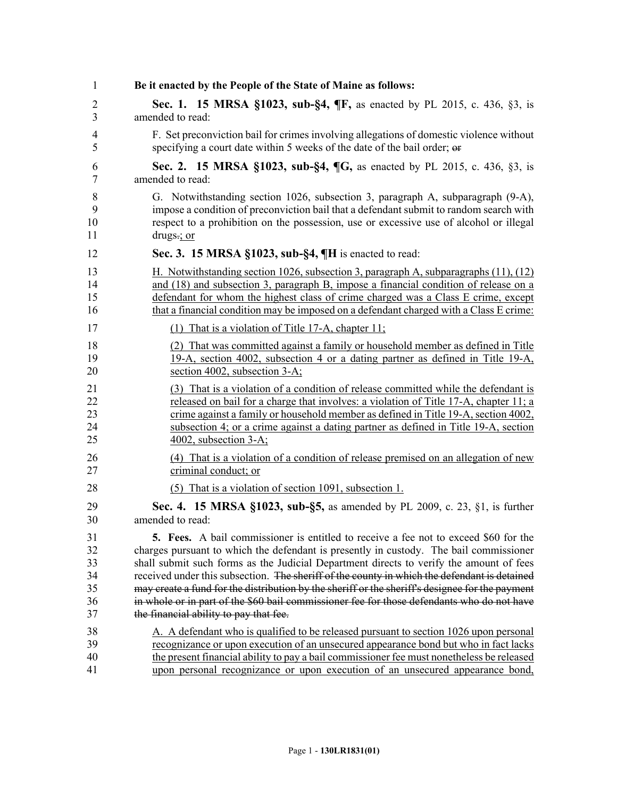| 1              | Be it enacted by the People of the State of Maine as follows:                                   |
|----------------|-------------------------------------------------------------------------------------------------|
| $\overline{2}$ | Sec. 1. 15 MRSA §1023, sub-§4, ¶F, as enacted by PL 2015, c. 436, §3, is                        |
| 3              | amended to read:                                                                                |
| 4              | F. Set preconviction bail for crimes involving allegations of domestic violence without         |
| 5              | specifying a court date within 5 weeks of the date of the bail order; or                        |
| 6              | Sec. 2. 15 MRSA §1023, sub-§4, ¶G, as enacted by PL 2015, c. 436, §3, is                        |
| 7              | amended to read:                                                                                |
| 8              | G. Notwithstanding section 1026, subsection 3, paragraph A, subparagraph (9-A),                 |
| 9              | impose a condition of preconviction bail that a defendant submit to random search with          |
| 10             | respect to a prohibition on the possession, use or excessive use of alcohol or illegal          |
| 11             | drugs $\div$ or                                                                                 |
| 12             | Sec. 3. 15 MRSA §1023, sub-§4, ¶H is enacted to read:                                           |
| 13             | H. Notwithstanding section 1026, subsection 3, paragraph A, subparagraphs (11), (12)            |
| 14             | and (18) and subsection 3, paragraph B, impose a financial condition of release on a            |
| 15             | defendant for whom the highest class of crime charged was a Class E crime, except               |
| 16             | that a financial condition may be imposed on a defendant charged with a Class E crime:          |
| 17             | (1) That is a violation of Title 17-A, chapter $11$ ;                                           |
| 18             | (2) That was committed against a family or household member as defined in Title                 |
| 19             | 19-A, section 4002, subsection 4 or a dating partner as defined in Title 19-A,                  |
| 20             | section 4002, subsection 3-A;                                                                   |
| 21             | (3) That is a violation of a condition of release committed while the defendant is              |
| 22             | released on bail for a charge that involves: a violation of Title 17-A, chapter 11; a           |
| 23             | crime against a family or household member as defined in Title 19-A, section 4002,              |
| 24             | subsection 4; or a crime against a dating partner as defined in Title 19-A, section             |
| 25             | 4002, subsection 3-A;                                                                           |
| 26             | (4) That is a violation of a condition of release premised on an allegation of new              |
| 27             | criminal conduct; or                                                                            |
| 28             | (5) That is a violation of section 1091, subsection 1.                                          |
| 29             | <b>Sec. 4. 15 MRSA §1023, sub-§5, as amended by PL 2009, c. 23, §1, is further</b>              |
| 30             | amended to read:                                                                                |
| 31             | <b>5.</b> Fees. A bail commissioner is entitled to receive a fee not to exceed \$60 for the     |
| 32             | charges pursuant to which the defendant is presently in custody. The bail commissioner          |
| 33             | shall submit such forms as the Judicial Department directs to verify the amount of fees         |
| 34             | received under this subsection. The sheriff of the county in which the defendant is detained    |
| 35             | may create a fund for the distribution by the sheriff or the sheriff's designee for the payment |
| 36             | in whole or in part of the \$60 bail commissioner fee for those defendants who do not have      |
| 37             | the financial ability to pay that fee.                                                          |
| 38             | A. A defendant who is qualified to be released pursuant to section 1026 upon personal           |
| 39             | recognizance or upon execution of an unsecured appearance bond but who in fact lacks            |
| 40             | the present financial ability to pay a bail commissioner fee must nonetheless be released       |
| 41             | upon personal recognizance or upon execution of an unsecured appearance bond,                   |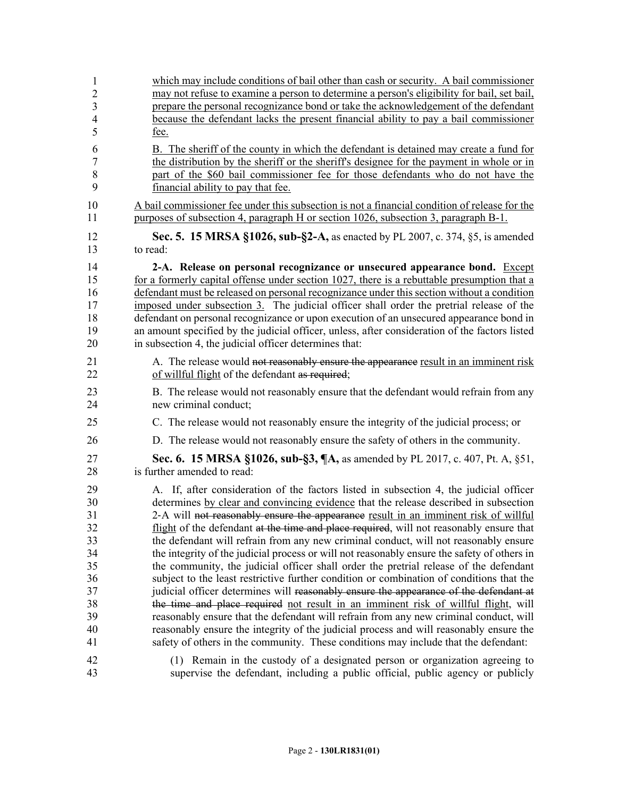| $\mathbf{1}$   | which may include conditions of bail other than cash or security. A bail commissioner          |
|----------------|------------------------------------------------------------------------------------------------|
| $\sqrt{2}$     | may not refuse to examine a person to determine a person's eligibility for bail, set bail,     |
| 3              | prepare the personal recognizance bond or take the acknowledgement of the defendant            |
| $\overline{4}$ | because the defendant lacks the present financial ability to pay a bail commissioner           |
| 5              | fee.                                                                                           |
| 6              | B. The sheriff of the county in which the defendant is detained may create a fund for          |
| $\overline{7}$ | the distribution by the sheriff or the sheriff's designee for the payment in whole or in       |
| 8              | part of the \$60 bail commissioner fee for those defendants who do not have the                |
| 9              | financial ability to pay that fee.                                                             |
| 10             | A bail commissioner fee under this subsection is not a financial condition of release for the  |
| 11             | purposes of subsection 4, paragraph H or section 1026, subsection 3, paragraph B-1.            |
| 12             | <b>Sec. 5. 15 MRSA §1026, sub-§2-A, as enacted by PL 2007, c. 374, §5, is amended</b>          |
| 13             | to read:                                                                                       |
| 14             | 2-A. Release on personal recognizance or unsecured appearance bond. Except                     |
| 15             | for a formerly capital offense under section 1027, there is a rebuttable presumption that a    |
| 16             | defendant must be released on personal recognizance under this section without a condition     |
| 17             | imposed under subsection 3. The judicial officer shall order the pretrial release of the       |
| 18             | defendant on personal recognizance or upon execution of an unsecured appearance bond in        |
| 19             | an amount specified by the judicial officer, unless, after consideration of the factors listed |
| 20             | in subsection 4, the judicial officer determines that:                                         |
| 21             | A. The release would not reasonably ensure the appearance result in an imminent risk           |
| 22             | of willful flight of the defendant as required;                                                |
| 23             | B. The release would not reasonably ensure that the defendant would refrain from any           |
| 24             | new criminal conduct;                                                                          |
| 25             | C. The release would not reasonably ensure the integrity of the judicial process; or           |
| 26             | D. The release would not reasonably ensure the safety of others in the community.              |
| 27             | Sec. 6. 15 MRSA §1026, sub-§3, ¶A, as amended by PL 2017, c. 407, Pt. A, §51,                  |
| 28             | is further amended to read:                                                                    |
| 29             | A. If, after consideration of the factors listed in subsection 4, the judicial officer         |
| 30             | determines by clear and convincing evidence that the release described in subsection           |
| 31             | 2-A will not reasonably ensure the appearance result in an imminent risk of willful            |
| 32             | flight of the defendant at the time and place required, will not reasonably ensure that        |
| 33             | the defendant will refrain from any new criminal conduct, will not reasonably ensure           |
| 34             | the integrity of the judicial process or will not reasonably ensure the safety of others in    |
| 35             | the community, the judicial officer shall order the pretrial release of the defendant          |
| 36             | subject to the least restrictive further condition or combination of conditions that the       |
| 37             | judicial officer determines will reasonably ensure the appearance of the defendant at          |
| 38             | the time and place required not result in an imminent risk of willful flight, will             |
| 39             | reasonably ensure that the defendant will refrain from any new criminal conduct, will          |
| 40             | reasonably ensure the integrity of the judicial process and will reasonably ensure the         |
| 41             | safety of others in the community. These conditions may include that the defendant:            |
| 42             | (1) Remain in the custody of a designated person or organization agreeing to                   |
| 43             | supervise the defendant, including a public official, public agency or publicly                |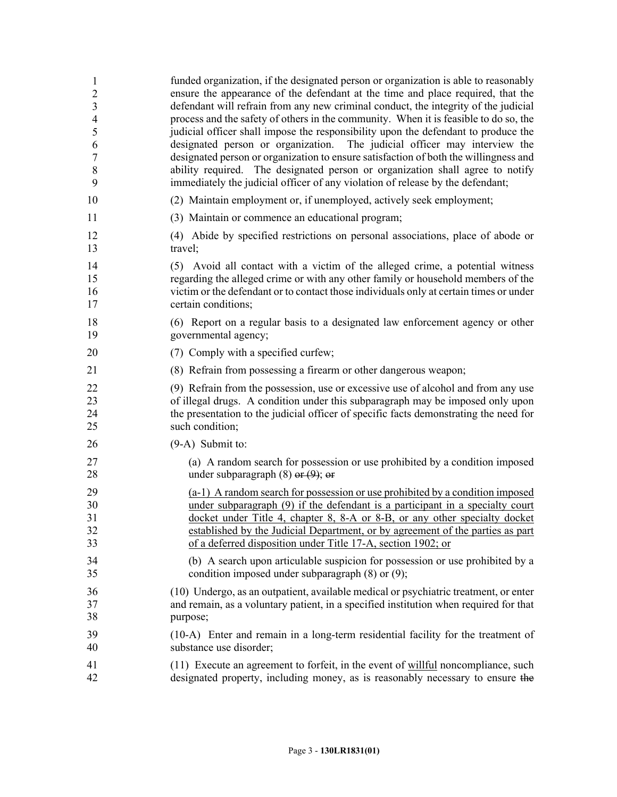| $\mathbf{1}$            | funded organization, if the designated person or organization is able to reasonably        |
|-------------------------|--------------------------------------------------------------------------------------------|
| $\overline{c}$          | ensure the appearance of the defendant at the time and place required, that the            |
| $\overline{\mathbf{3}}$ | defendant will refrain from any new criminal conduct, the integrity of the judicial        |
| $\overline{4}$          | process and the safety of others in the community. When it is feasible to do so, the       |
| 5                       | judicial officer shall impose the responsibility upon the defendant to produce the         |
| 6                       | designated person or organization. The judicial officer may interview the                  |
| $\sqrt{ }$              | designated person or organization to ensure satisfaction of both the willingness and       |
| 8                       | ability required. The designated person or organization shall agree to notify              |
| 9                       | immediately the judicial officer of any violation of release by the defendant;             |
| 10                      | (2) Maintain employment or, if unemployed, actively seek employment;                       |
| 11                      | (3) Maintain or commence an educational program;                                           |
| 12                      | (4) Abide by specified restrictions on personal associations, place of abode or            |
| 13                      | travel;                                                                                    |
| 14                      | (5) Avoid all contact with a victim of the alleged crime, a potential witness              |
| 15                      | regarding the alleged crime or with any other family or household members of the           |
| 16                      | victim or the defendant or to contact those individuals only at certain times or under     |
| 17                      | certain conditions;                                                                        |
| 18                      | (6) Report on a regular basis to a designated law enforcement agency or other              |
| 19                      | governmental agency;                                                                       |
| 20                      | (7) Comply with a specified curfew;                                                        |
| 21                      | (8) Refrain from possessing a firearm or other dangerous weapon;                           |
| 22                      | (9) Refrain from the possession, use or excessive use of alcohol and from any use          |
| 23                      | of illegal drugs. A condition under this subparagraph may be imposed only upon             |
| 24                      | the presentation to the judicial officer of specific facts demonstrating the need for      |
| 25                      | such condition;                                                                            |
| 26                      | $(9-A)$ Submit to:                                                                         |
| 27                      | (a) A random search for possession or use prohibited by a condition imposed                |
| 28                      | under subparagraph $(8)$ or $(9)$ ; or                                                     |
| 29                      | (a-1) A random search for possession or use prohibited by a condition imposed              |
| 30                      | under subparagraph (9) if the defendant is a participant in a specialty court              |
| 31                      | docket under Title 4, chapter 8, 8-A or 8-B, or any other specialty docket                 |
| 32                      | established by the Judicial Department, or by agreement of the parties as part             |
| 33                      | of a deferred disposition under Title 17-A, section 1902; or                               |
| 34                      | (b) A search upon articulable suspicion for possession or use prohibited by a              |
| 35                      | condition imposed under subparagraph $(8)$ or $(9)$ ;                                      |
| 36                      | (10) Undergo, as an outpatient, available medical or psychiatric treatment, or enter       |
| 37                      | and remain, as a voluntary patient, in a specified institution when required for that      |
| 38                      | purpose;                                                                                   |
| 39                      | (10-A) Enter and remain in a long-term residential facility for the treatment of           |
| 40                      | substance use disorder;                                                                    |
| 41                      | $(11)$ Execute an agreement to forfeit, in the event of <u>willful</u> noncompliance, such |
| 42                      | designated property, including money, as is reasonably necessary to ensure the             |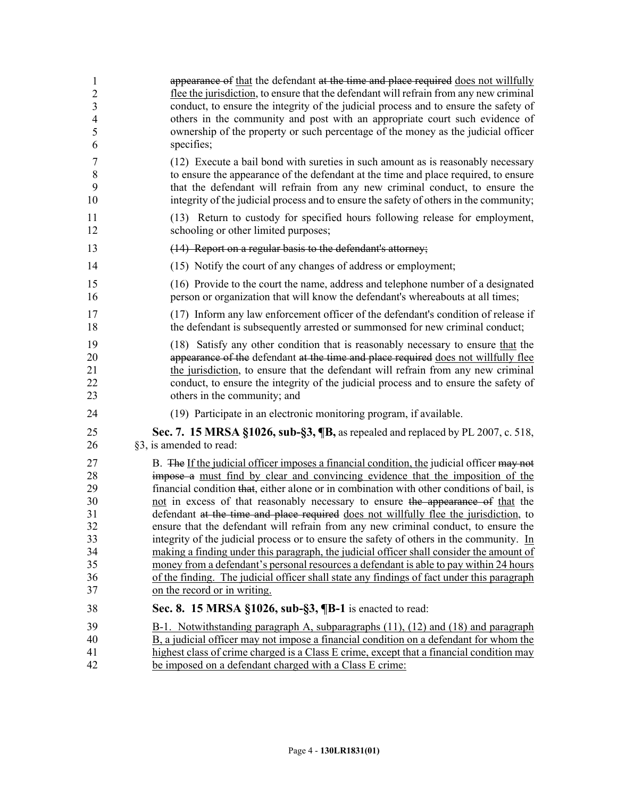| 1              | appearance of that the defendant at the time and place required does not willfully         |
|----------------|--------------------------------------------------------------------------------------------|
| $\overline{2}$ | flee the jurisdiction, to ensure that the defendant will refrain from any new criminal     |
| 3              | conduct, to ensure the integrity of the judicial process and to ensure the safety of       |
| $\overline{4}$ | others in the community and post with an appropriate court such evidence of                |
| 5              | ownership of the property or such percentage of the money as the judicial officer          |
| 6              | specifies;                                                                                 |
| $\overline{7}$ | (12) Execute a bail bond with sureties in such amount as is reasonably necessary           |
| $\,8\,$        | to ensure the appearance of the defendant at the time and place required, to ensure        |
| 9              | that the defendant will refrain from any new criminal conduct, to ensure the               |
| 10             | integrity of the judicial process and to ensure the safety of others in the community;     |
| 11             | (13) Return to custody for specified hours following release for employment,               |
| 12             | schooling or other limited purposes;                                                       |
| 13             | $(14)$ Report on a regular basis to the defendant's attorney;                              |
| 14             | (15) Notify the court of any changes of address or employment;                             |
| 15             | (16) Provide to the court the name, address and telephone number of a designated           |
| 16             | person or organization that will know the defendant's whereabouts at all times;            |
| 17             | (17) Inform any law enforcement officer of the defendant's condition of release if         |
| 18             | the defendant is subsequently arrested or summonsed for new criminal conduct;              |
| 19             | (18) Satisfy any other condition that is reasonably necessary to ensure that the           |
| 20             | appearance of the defendant at the time and place required does not willfully flee         |
| 21             | the jurisdiction, to ensure that the defendant will refrain from any new criminal          |
| 22             | conduct, to ensure the integrity of the judicial process and to ensure the safety of       |
| 23             | others in the community; and                                                               |
| 24             | (19) Participate in an electronic monitoring program, if available.                        |
| 25             | Sec. 7. 15 MRSA §1026, sub-§3, ¶B, as repealed and replaced by PL 2007, c. 518,            |
| 26             | §3, is amended to read:                                                                    |
| 27             | B. The If the judicial officer imposes a financial condition, the judicial officer may not |
| 28             | impose a must find by clear and convincing evidence that the imposition of the             |
| 29             | financial condition that, either alone or in combination with other conditions of bail, is |
| 30             | not in excess of that reasonably necessary to ensure the appearance of that the            |
| 31             | defendant at the time and place required does not willfully flee the jurisdiction, to      |
| 32             | ensure that the defendant will refrain from any new criminal conduct, to ensure the        |
| 33             | integrity of the judicial process or to ensure the safety of others in the community. In   |
| 34             | making a finding under this paragraph, the judicial officer shall consider the amount of   |
| 35             | money from a defendant's personal resources a defendant is able to pay within 24 hours     |
| 36             | of the finding. The judicial officer shall state any findings of fact under this paragraph |
| 37             | on the record or in writing.                                                               |
| 38             | Sec. 8. 15 MRSA §1026, sub-§3, ¶B-1 is enacted to read:                                    |
| 39             | B-1. Notwithstanding paragraph A, subparagraphs (11), (12) and (18) and paragraph          |
| 40             | B, a judicial officer may not impose a financial condition on a defendant for whom the     |
| 41             | highest class of crime charged is a Class E crime, except that a financial condition may   |
| 42             | be imposed on a defendant charged with a Class E crime:                                    |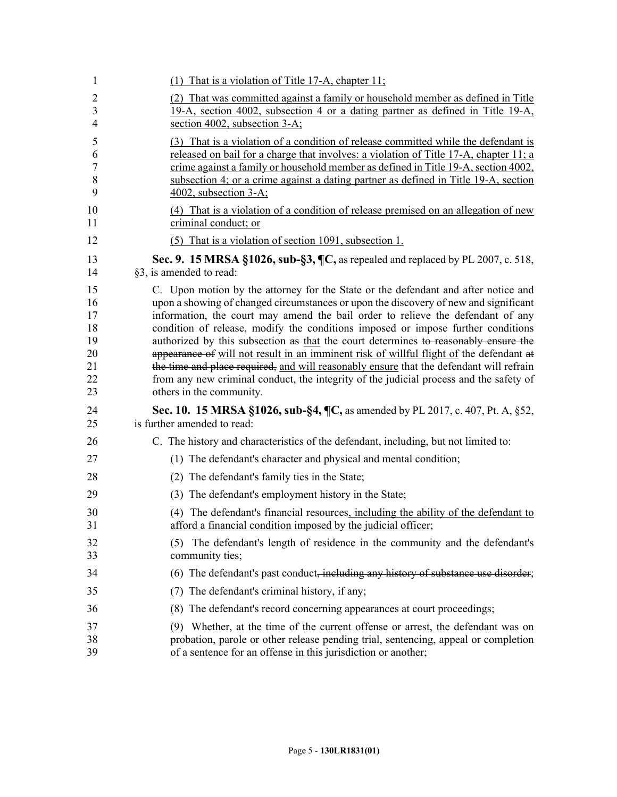| 1              | (1) That is a violation of Title 17-A, chapter $11$ ;                                         |
|----------------|-----------------------------------------------------------------------------------------------|
| 2              | (2) That was committed against a family or household member as defined in Title               |
| 3              | 19-A, section 4002, subsection 4 or a dating partner as defined in Title 19-A,                |
| $\overline{4}$ | section 4002, subsection 3-A;                                                                 |
| 5              | (3) That is a violation of a condition of release committed while the defendant is            |
| 6              | released on bail for a charge that involves: a violation of Title 17-A, chapter 11; a         |
| 7              | crime against a family or household member as defined in Title 19-A, section 4002,            |
| $8\,$          | subsection 4; or a crime against a dating partner as defined in Title 19-A, section           |
| 9              | 4002, subsection 3-A;                                                                         |
| 10             | (4) That is a violation of a condition of release premised on an allegation of new            |
| 11             | criminal conduct; or                                                                          |
| 12             | (5) That is a violation of section 1091, subsection 1.                                        |
| 13             | Sec. 9. 15 MRSA $\S1026$ , sub- $\S3$ , $\P C$ , as repealed and replaced by PL 2007, c. 518, |
| 14             | §3, is amended to read:                                                                       |
| 15             | C. Upon motion by the attorney for the State or the defendant and after notice and            |
| 16             | upon a showing of changed circumstances or upon the discovery of new and significant          |
| 17             | information, the court may amend the bail order to relieve the defendant of any               |
| 18             | condition of release, modify the conditions imposed or impose further conditions              |
| 19             | authorized by this subsection as that the court determines to reasonably ensure the           |
| 20             | appearance of will not result in an imminent risk of willful flight of the defendant at       |
| 21             | the time and place required, and will reasonably ensure that the defendant will refrain       |
| 22             | from any new criminal conduct, the integrity of the judicial process and the safety of        |
| 23             | others in the community.                                                                      |
| 24             | Sec. 10. 15 MRSA §1026, sub-§4, ¶C, as amended by PL 2017, c. 407, Pt. A, §52,                |
| 25             | is further amended to read:                                                                   |
| 26             | C. The history and characteristics of the defendant, including, but not limited to:           |
| 27             | (1) The defendant's character and physical and mental condition;                              |
| 28             | (2) The defendant's family ties in the State;                                                 |
| 29             | (3) The defendant's employment history in the State;                                          |
| 30             | (4) The defendant's financial resources, including the ability of the defendant to            |
| 31             | afford a financial condition imposed by the judicial officer;                                 |
| 32             | (5) The defendant's length of residence in the community and the defendant's                  |
| 33             | community ties;                                                                               |
| 34             | (6) The defendant's past conduct, including any history of substance use disorder;            |
| 35             | (7) The defendant's criminal history, if any;                                                 |
| 36             | (8) The defendant's record concerning appearances at court proceedings;                       |
| 37             | (9) Whether, at the time of the current offense or arrest, the defendant was on               |
| 38             | probation, parole or other release pending trial, sentencing, appeal or completion            |
| 39             | of a sentence for an offense in this jurisdiction or another;                                 |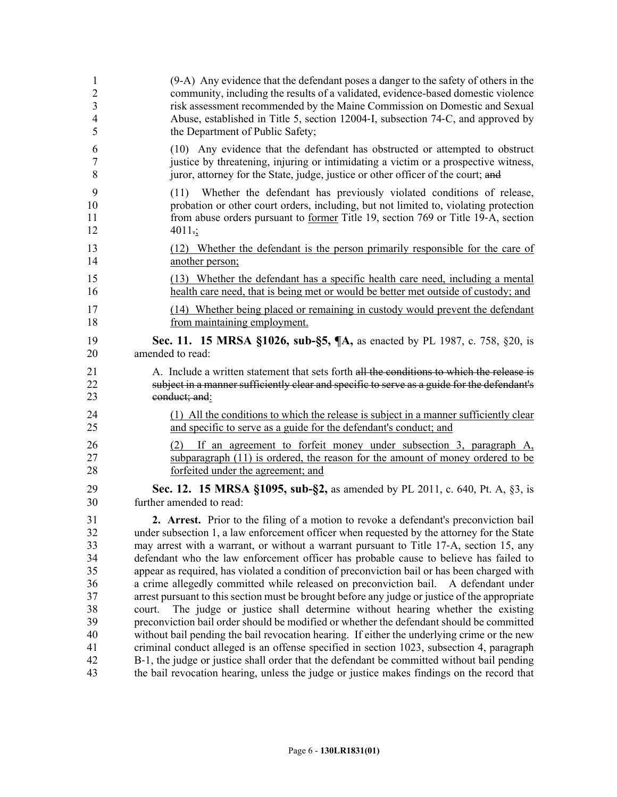| $\mathbf{1}$                                                               | (9-A) Any evidence that the defendant poses a danger to the safety of others in the                                                                                                                                                                                                                                                                                                                                                                                                                                                                                                                                                                                                                                                                                                                                                                                                                                                                                                                                                                                                                                                                                                                                                        |
|----------------------------------------------------------------------------|--------------------------------------------------------------------------------------------------------------------------------------------------------------------------------------------------------------------------------------------------------------------------------------------------------------------------------------------------------------------------------------------------------------------------------------------------------------------------------------------------------------------------------------------------------------------------------------------------------------------------------------------------------------------------------------------------------------------------------------------------------------------------------------------------------------------------------------------------------------------------------------------------------------------------------------------------------------------------------------------------------------------------------------------------------------------------------------------------------------------------------------------------------------------------------------------------------------------------------------------|
| $\overline{2}$                                                             | community, including the results of a validated, evidence-based domestic violence                                                                                                                                                                                                                                                                                                                                                                                                                                                                                                                                                                                                                                                                                                                                                                                                                                                                                                                                                                                                                                                                                                                                                          |
| $\mathfrak{Z}$                                                             | risk assessment recommended by the Maine Commission on Domestic and Sexual                                                                                                                                                                                                                                                                                                                                                                                                                                                                                                                                                                                                                                                                                                                                                                                                                                                                                                                                                                                                                                                                                                                                                                 |
| $\overline{4}$                                                             | Abuse, established in Title 5, section 12004-I, subsection 74-C, and approved by                                                                                                                                                                                                                                                                                                                                                                                                                                                                                                                                                                                                                                                                                                                                                                                                                                                                                                                                                                                                                                                                                                                                                           |
| 5                                                                          | the Department of Public Safety;                                                                                                                                                                                                                                                                                                                                                                                                                                                                                                                                                                                                                                                                                                                                                                                                                                                                                                                                                                                                                                                                                                                                                                                                           |
| 6                                                                          | (10) Any evidence that the defendant has obstructed or attempted to obstruct                                                                                                                                                                                                                                                                                                                                                                                                                                                                                                                                                                                                                                                                                                                                                                                                                                                                                                                                                                                                                                                                                                                                                               |
| $\tau$                                                                     | justice by threatening, injuring or intimidating a victim or a prospective witness,                                                                                                                                                                                                                                                                                                                                                                                                                                                                                                                                                                                                                                                                                                                                                                                                                                                                                                                                                                                                                                                                                                                                                        |
| 8                                                                          | juror, attorney for the State, judge, justice or other officer of the court; and                                                                                                                                                                                                                                                                                                                                                                                                                                                                                                                                                                                                                                                                                                                                                                                                                                                                                                                                                                                                                                                                                                                                                           |
| 9<br>10<br>11<br>12                                                        | Whether the defendant has previously violated conditions of release,<br>(11)<br>probation or other court orders, including, but not limited to, violating protection<br>from abuse orders pursuant to former Title 19, section 769 or Title 19-A, section<br>$4011$ ;                                                                                                                                                                                                                                                                                                                                                                                                                                                                                                                                                                                                                                                                                                                                                                                                                                                                                                                                                                      |
| 13                                                                         | (12) Whether the defendant is the person primarily responsible for the care of                                                                                                                                                                                                                                                                                                                                                                                                                                                                                                                                                                                                                                                                                                                                                                                                                                                                                                                                                                                                                                                                                                                                                             |
| 14                                                                         | another person;                                                                                                                                                                                                                                                                                                                                                                                                                                                                                                                                                                                                                                                                                                                                                                                                                                                                                                                                                                                                                                                                                                                                                                                                                            |
| 15                                                                         | (13) Whether the defendant has a specific health care need, including a mental                                                                                                                                                                                                                                                                                                                                                                                                                                                                                                                                                                                                                                                                                                                                                                                                                                                                                                                                                                                                                                                                                                                                                             |
| 16                                                                         | health care need, that is being met or would be better met outside of custody; and                                                                                                                                                                                                                                                                                                                                                                                                                                                                                                                                                                                                                                                                                                                                                                                                                                                                                                                                                                                                                                                                                                                                                         |
| 17                                                                         | (14) Whether being placed or remaining in custody would prevent the defendant                                                                                                                                                                                                                                                                                                                                                                                                                                                                                                                                                                                                                                                                                                                                                                                                                                                                                                                                                                                                                                                                                                                                                              |
| 18                                                                         | from maintaining employment.                                                                                                                                                                                                                                                                                                                                                                                                                                                                                                                                                                                                                                                                                                                                                                                                                                                                                                                                                                                                                                                                                                                                                                                                               |
| 19                                                                         | Sec. 11. 15 MRSA §1026, sub-§5, ¶A, as enacted by PL 1987, c. 758, §20, is                                                                                                                                                                                                                                                                                                                                                                                                                                                                                                                                                                                                                                                                                                                                                                                                                                                                                                                                                                                                                                                                                                                                                                 |
| 20                                                                         | amended to read:                                                                                                                                                                                                                                                                                                                                                                                                                                                                                                                                                                                                                                                                                                                                                                                                                                                                                                                                                                                                                                                                                                                                                                                                                           |
| 21                                                                         | A. Include a written statement that sets forth all the conditions to which the release is                                                                                                                                                                                                                                                                                                                                                                                                                                                                                                                                                                                                                                                                                                                                                                                                                                                                                                                                                                                                                                                                                                                                                  |
| 22                                                                         | subject in a manner sufficiently clear and specific to serve as a guide for the defendant's                                                                                                                                                                                                                                                                                                                                                                                                                                                                                                                                                                                                                                                                                                                                                                                                                                                                                                                                                                                                                                                                                                                                                |
| 23                                                                         | conduct; and:                                                                                                                                                                                                                                                                                                                                                                                                                                                                                                                                                                                                                                                                                                                                                                                                                                                                                                                                                                                                                                                                                                                                                                                                                              |
| 24                                                                         | (1) All the conditions to which the release is subject in a manner sufficiently clear                                                                                                                                                                                                                                                                                                                                                                                                                                                                                                                                                                                                                                                                                                                                                                                                                                                                                                                                                                                                                                                                                                                                                      |
| 25                                                                         | and specific to serve as a guide for the defendant's conduct; and                                                                                                                                                                                                                                                                                                                                                                                                                                                                                                                                                                                                                                                                                                                                                                                                                                                                                                                                                                                                                                                                                                                                                                          |
| 26                                                                         | (2) If an agreement to forfeit money under subsection 3, paragraph A,                                                                                                                                                                                                                                                                                                                                                                                                                                                                                                                                                                                                                                                                                                                                                                                                                                                                                                                                                                                                                                                                                                                                                                      |
| 27                                                                         | subparagraph (11) is ordered, the reason for the amount of money ordered to be                                                                                                                                                                                                                                                                                                                                                                                                                                                                                                                                                                                                                                                                                                                                                                                                                                                                                                                                                                                                                                                                                                                                                             |
| 28                                                                         | forfeited under the agreement; and                                                                                                                                                                                                                                                                                                                                                                                                                                                                                                                                                                                                                                                                                                                                                                                                                                                                                                                                                                                                                                                                                                                                                                                                         |
| 29                                                                         | Sec. 12. 15 MRSA §1095, sub-§2, as amended by PL 2011, c. 640, Pt. A, §3, is                                                                                                                                                                                                                                                                                                                                                                                                                                                                                                                                                                                                                                                                                                                                                                                                                                                                                                                                                                                                                                                                                                                                                               |
| 30                                                                         | further amended to read:                                                                                                                                                                                                                                                                                                                                                                                                                                                                                                                                                                                                                                                                                                                                                                                                                                                                                                                                                                                                                                                                                                                                                                                                                   |
| 31<br>32<br>33<br>34<br>35<br>36<br>37<br>38<br>39<br>40<br>41<br>42<br>43 | 2. Arrest. Prior to the filing of a motion to revoke a defendant's preconviction bail<br>under subsection 1, a law enforcement officer when requested by the attorney for the State<br>may arrest with a warrant, or without a warrant pursuant to Title 17-A, section 15, any<br>defendant who the law enforcement officer has probable cause to believe has failed to<br>appear as required, has violated a condition of preconviction bail or has been charged with<br>a crime allegedly committed while released on preconviction bail. A defendant under<br>arrest pursuant to this section must be brought before any judge or justice of the appropriate<br>The judge or justice shall determine without hearing whether the existing<br>court.<br>preconviction bail order should be modified or whether the defendant should be committed<br>without bail pending the bail revocation hearing. If either the underlying crime or the new<br>criminal conduct alleged is an offense specified in section 1023, subsection 4, paragraph<br>B-1, the judge or justice shall order that the defendant be committed without bail pending<br>the bail revocation hearing, unless the judge or justice makes findings on the record that |
|                                                                            |                                                                                                                                                                                                                                                                                                                                                                                                                                                                                                                                                                                                                                                                                                                                                                                                                                                                                                                                                                                                                                                                                                                                                                                                                                            |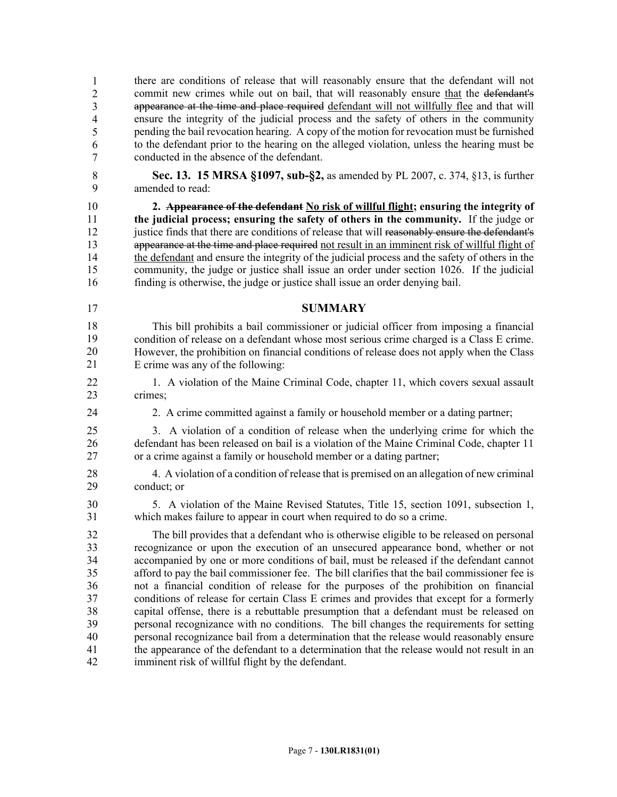44 there are conditions of release that will reasonably ensure that the defendant will not commit new crimes while out on bail, that will reasonably ensure that the defendant's appearance at the time and place required defendant will not willfully flee and that will ensure the integrity of the judicial process and the safety of others in the community pending the bail revocation hearing. A copy of the motion for revocation must be furnished to the defendant prior to the hearing on the alleged violation, unless the hearing must be conducted in the absence of the defendant. 1 2 3 4 5 6 7

8 **Sec. 13. 15 MRSA §1097, sub-§2,** as amended by PL 2007, c. 374, §13, is further 9 amended to read:

10 **2. Appearance of the defendant No risk of willful flight; ensuring the integrity of**  11 **the judicial process; ensuring the safety of others in the community.** If the judge or 12 justice finds that there are conditions of release that will reasonably ensure the defendant's 13 appearance at the time and place required not result in an imminent risk of willful flight of 14 the defendant and ensure the integrity of the judicial process and the safety of others in the 15 community, the judge or justice shall issue an order under section 1026. If the judicial 16 finding is otherwise, the judge or justice shall issue an order denying bail.

17 **SUMMARY**

This bill prohibits a bail commissioner or judicial officer from imposing a financial condition of release on a defendant whose most serious crime charged is a Class E crime. 20 However, the prohibition on financial conditions of release does not apply when the Class E crime was any of the following: 18 19 20 21

- 22 1. A violation of the Maine Criminal Code, chapter 11, which covers sexual assault 23 crimes:
- 24 2. A crime committed against a family or household member or a dating partner;
- 25 3. A violation of a condition of release when the underlying crime for which the 26 defendant has been released on bail is a violation of the Maine Criminal Code, chapter 11 27 or a crime against a family or household member or a dating partner;
- 28 4. A violation of a condition of release that is premised on an allegation of new criminal 29 conduct; or

30 5. A violation of the Maine Revised Statutes, Title 15, section 1091, subsection 1, 31 which makes failure to appear in court when required to do so a crime.

32 The bill provides that a defendant who is otherwise eligible to be released on personal 33 recognizance or upon the execution of an unsecured appearance bond, whether or not 34 accompanied by one or more conditions of bail, must be released if the defendant cannot 35 afford to pay the bail commissioner fee. The bill clarifies that the bail commissioner fee is 36 not a financial condition of release for the purposes of the prohibition on financial 37 conditions of release for certain Class E crimes and provides that except for a formerly 38 capital offense, there is a rebuttable presumption that a defendant must be released on 39 personal recognizance with no conditions. The bill changes the requirements for setting 40 personal recognizance bail from a determination that the release would reasonably ensure 41 the appearance of the defendant to a determination that the release would not result in an 42 imminent risk of willful flight by the defendant.